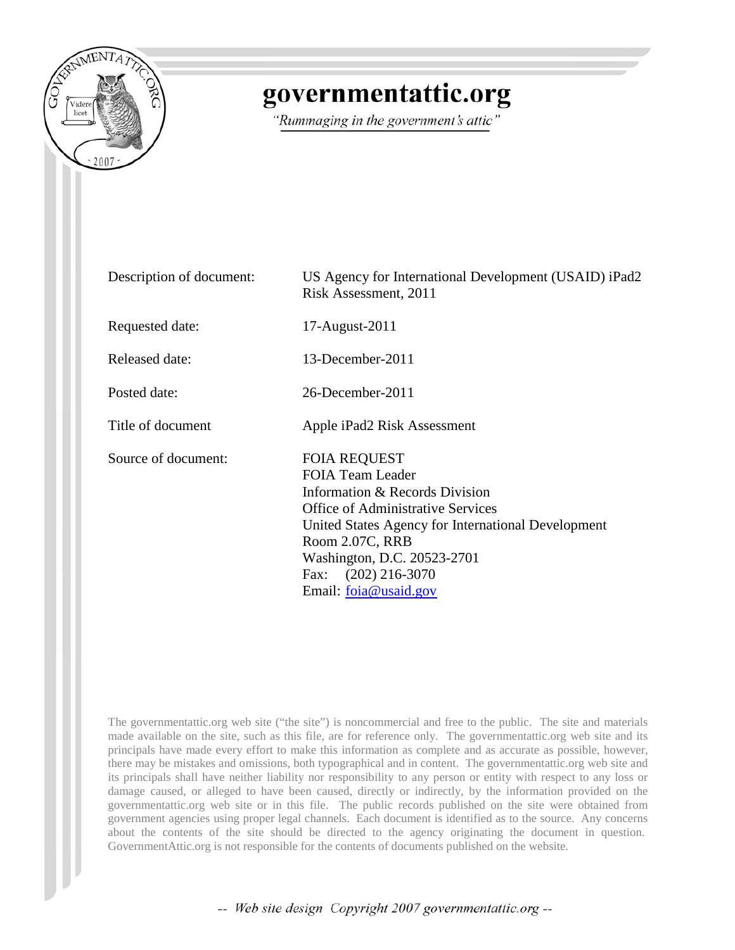

# governmentattic.org

"Rummaging in the government's attic"

| Description of document: | US Agency for International Development (USAID) iPad2<br>Risk Assessment, 2011                                                                                                                                                                                                       |
|--------------------------|--------------------------------------------------------------------------------------------------------------------------------------------------------------------------------------------------------------------------------------------------------------------------------------|
| Requested date:          | 17-August-2011                                                                                                                                                                                                                                                                       |
| Released date:           | 13-December-2011                                                                                                                                                                                                                                                                     |
| Posted date:             | 26-December-2011                                                                                                                                                                                                                                                                     |
| Title of document        | Apple iPad2 Risk Assessment                                                                                                                                                                                                                                                          |
| Source of document:      | <b>FOIA REQUEST</b><br><b>FOIA Team Leader</b><br>Information & Records Division<br><b>Office of Administrative Services</b><br>United States Agency for International Development<br>Room 2.07C, RRB<br>Washington, D.C. 20523-2701<br>Fax: (202) 216-3070<br>Email: foia@usaid.gov |

The governmentattic.org web site ("the site") is noncommercial and free to the public. The site and materials made available on the site, such as this file, are for reference only. The governmentattic.org web site and its principals have made every effort to make this information as complete and as accurate as possible, however, there may be mistakes and omissions, both typographical and in content. The governmentattic.org web site and its principals shall have neither liability nor responsibility to any person or entity with respect to any loss or damage caused, or alleged to have been caused, directly or indirectly, by the information provided on the governmentattic.org web site or in this file. The public records published on the site were obtained from government agencies using proper legal channels. Each document is identified as to the source. Any concerns about the contents of the site should be directed to the agency originating the document in question. GovernmentAttic.org is not responsible for the contents of documents published on the website.

-- Web site design Copyright 2007 governmentattic.org --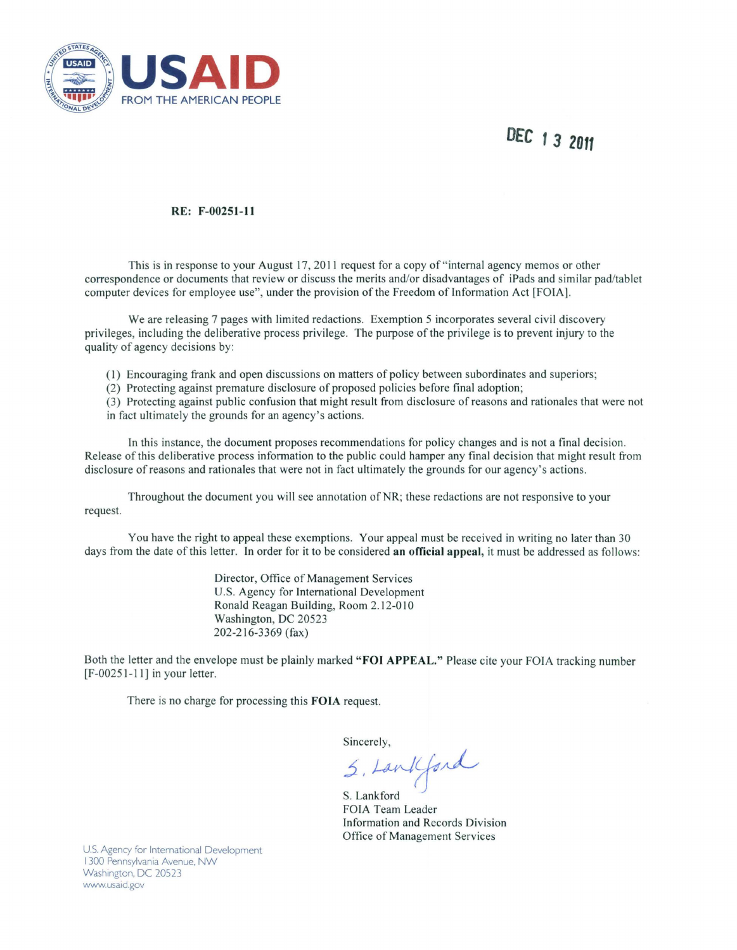

## **DEC 1 3 2011**

#### RE: F-00251-11

This is in response to your August 17, 2011 request for a copy of "internal agency memos or other correspondence or documents that review or discuss the merits and/or disadvantages of iPads and similar pad/tablet computer devices for employee use", under the provision of the Freedom of Information Act [FOIA].

We are releasing 7 pages with limited redactions. Exemption 5 incorporates several civil discovery privileges, including the deliberative process privilege. The purpose of the privilege is to prevent injury to the quality of agency decisions by:

- (I) Encouraging frank and open discussions on matters of policy between subordinates and superiors;
- (2) Protecting against premature disclosure of proposed policies before final adoption;

(3) Protecting against public confusion that might result from disclosure of reasons and rationales that were not in fact ultimately the grounds for an agency's actions.

In this instance, the document proposes recommendations for policy changes and is not a final decision. Release of this deliberative process information to the public could hamper any final decision that might result from disclosure of reasons and rationales that were not in fact ultimately the grounds for our agency's actions.

Throughout the document you will see annotation of NR; these redactions are not responsive to your request.

You have the right to appeal these exemptions. Your appeal must be received in writing no later than 30 days from the date of this letter. In order for it to be considered an official appeal, it must be addressed as follows:

> Director, Office of Management Services U.S. Agency for International Development Ronald Reagan Building, Room 2.12-010 Washington, DC 20523 202-216-3369 (fax)

Both the letter and the envelope must be plainly marked "FOJ APPEAL." Please cite your FOIA tracking number  $[F-00251-11]$  in your letter.

There is no charge for processing this FOIA request.

Sincerely,

 $5.$  Land Gord

S. Lankford FOIA Team Leader Information and Records Division Office of Management Services

U.S. Agency for International Development I 300 Pennsylvania Avenue, NW Washington, DC 20523 www.usaid.gov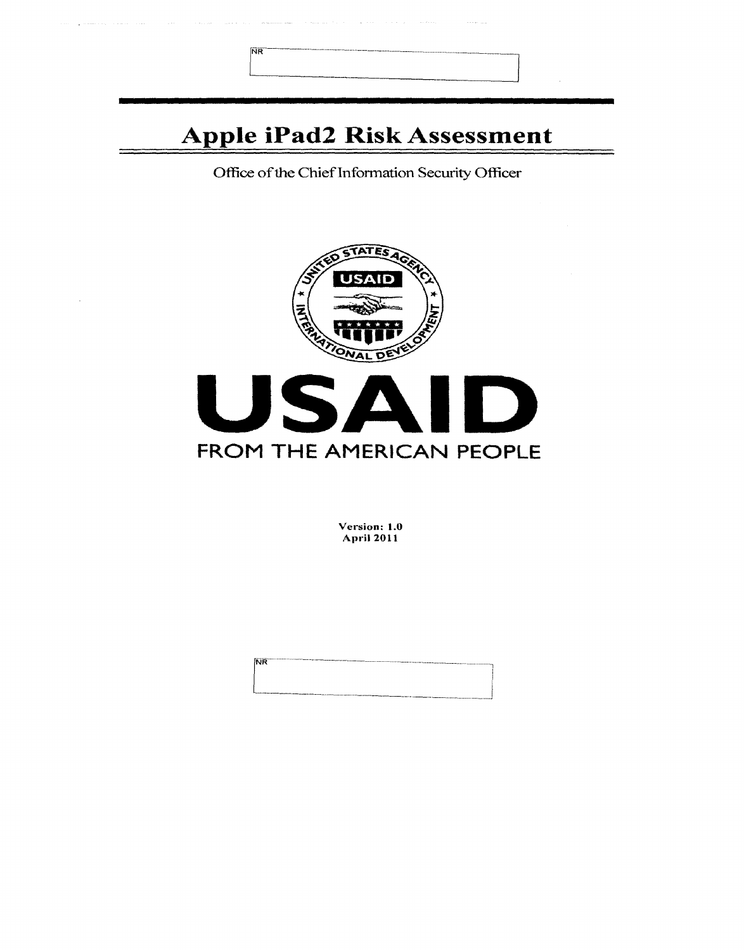| <b>NR</b>                          |  |
|------------------------------------|--|
| <b>Apple iPad2 Risk Assessment</b> |  |

Office of the Chief Information Security Officer



Version: 1.0 April 2011

N<sub>R</sub>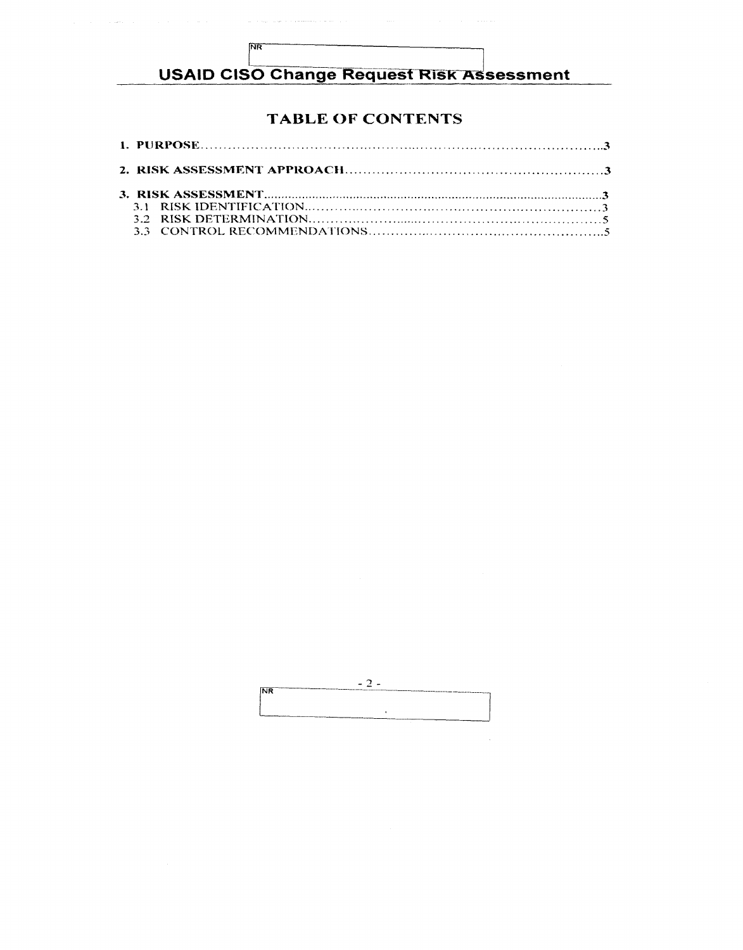## **USAID CISO Change Request Risk Assessment**

 $NR$ 

### **TABLE OF CONTENTS**

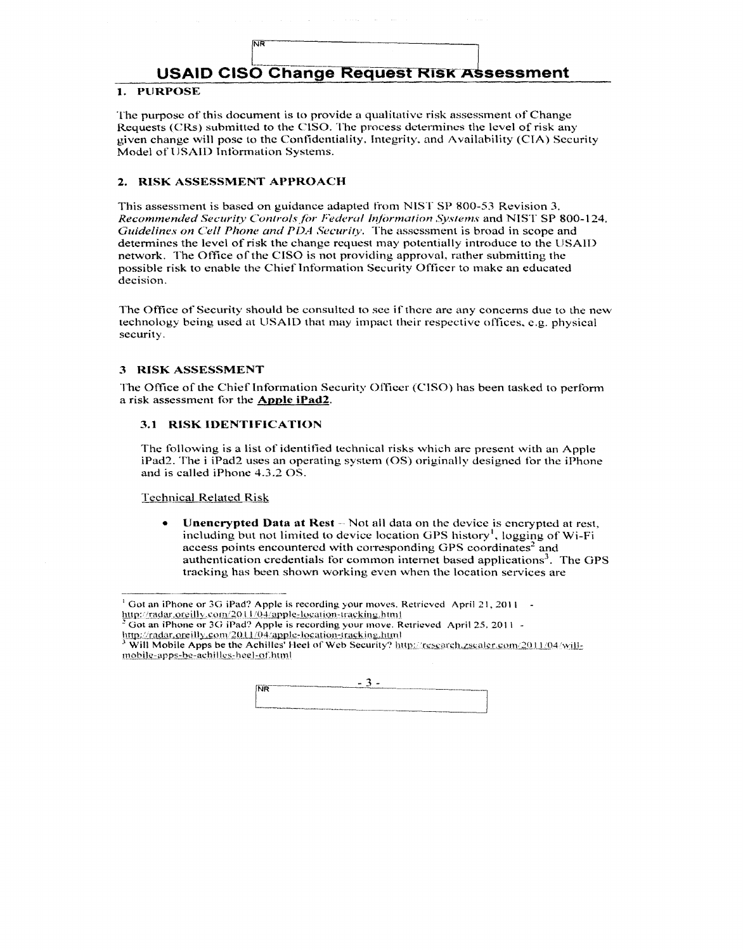## USAID CISO Change Request Risk Assessment

#### 1. PURPOSE

The purpose of this document is to provide a qualitative risk assessment of Change Requests (CRs) submitted to the CISO. The process determines the level of risk any given change will pose to the Confidentiality, Integrity, and Availability (CIA) Security Model of USAID Information Systems.

#### 2. RISK ASSESSMENT APPROACH

**NB** 

This assessment is based on guidance adapted from NIST SP 800-53 Revision 3. *Recommended Security Conlro/sfi:w Federal lr!/hrmation Systems* and NIST SP 800-124. *Guidelines on Cell Phone and PDA Security.* The assessment is broad in scope and determines the level of risk the change request may potentially introduce to the USAID network. The Office of the CISO is not providing approval. rather submitting the possible risk to enable the Chief Information Security Officer to make an educated decision.

The Office of Security should be consulted to see if there are any concerns due to the new technology being used at USAID that may impact their respective offices, e.g. physical security.

#### 3 RISK ASSESSMENT

The Office of the Chief Information Security Officer (CISO) has been tasked to perform a risk assessment for the **Apple iPad2**.

#### 3.1 RISK IDENTIFICATION

The following is a list of identified technical risks which arc present with an Apple iPad2. The i iPad2 uses an operating system (OS) originally designed tbr the iPhone and is culled iPhonc 4.3.2 OS.

Technical Related Risk

Unencrypted Data at Rest -- Not all data on the device is encrypted at rest, including but not limited to device location GPS history<sup>1</sup>, logging of Wi-Fi access points encountered with corresponding GPS coordinates<sup>2</sup> and authentication credentials for common internet based applications<sup>3</sup>. The GPS tracking has been shown working even when the location services are

Will Mobile Apps be the Achilles' Heel of Web Security? http://research.zscaler.com/2011/04/willmobile-apps-be-achilles-heel-of.html



<sup>&</sup>lt;sup>1</sup> Got an iPhone or 3G iPad? Apple is recording your moves. Retrieved April 21, 2011 - http://radar.ore.illy.com/2011/04/apple-location-tracking.html

Got an iPhone or 3G iPad? Apple is recording your move. Retrieved April 25, 2011 -

http://radar.org/ill.com/2011/04/apple-location-tracking.html<br>
A Will Mobile A rate in the state of the distribution of the state of the state of the state of the state of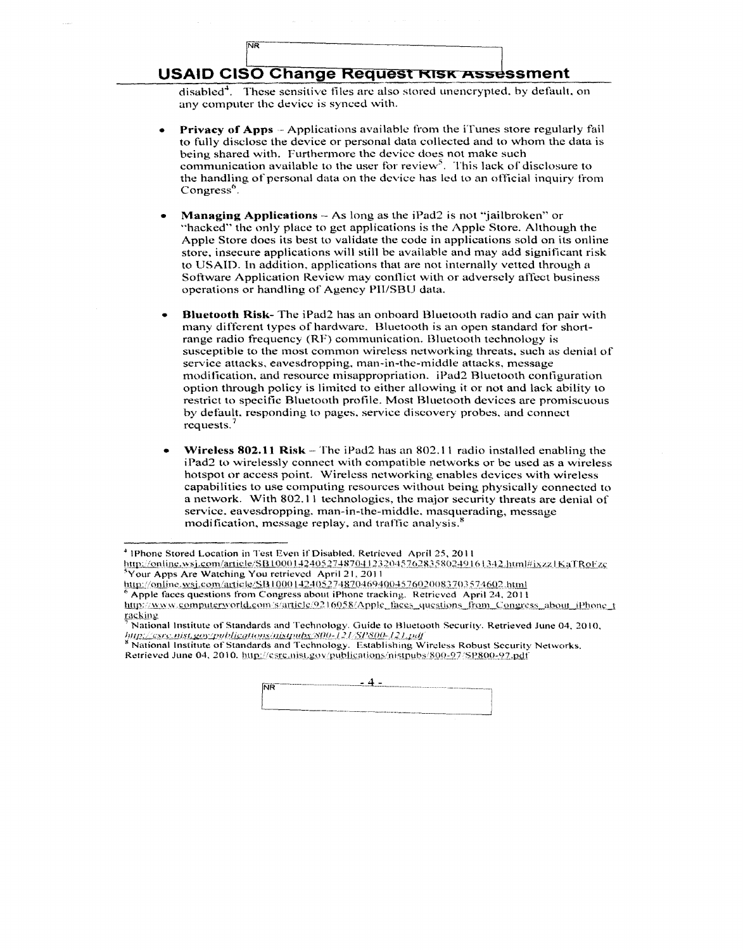### USAID CISO Change Request RISK Assessment

 $\mathbb{R}^n$ 

disabled<sup>4</sup>. These sensitive files arc also stored unencrypted, by default, on any computer the device is synced with.

- **Privacy of Apps** Applications available from the iTunes store regularly fail to fully disclose the device or personal data collected and to whom the data is being shared with. Furthermore the device does not make such communication available to the user for review<sup>5</sup>. This lack of disclosure to the handling of personal data on the device has led to an official inquiry from Congress<sup>6</sup>.
- Managing Applications As long as the iPad2 is not "jailbroken" or "hacked" the only place to get applications is the Apple Store. Although the Apple Store docs its best to validate the code in applications sold on its online store. insecure applications will still be available and may add significant risk to USAID. In addition, applications that are not internally vetted through a Software Application Review may conflict with or adversely affect business operations or handling of Agency Pli/SBU data.
- Bluetooth Risk- The iPad2 has an onboard Bluetooth radio and can pair with many different types of hardware. Bluctooth is an open standard for shortrange radio frequency (RF) communication. Bluetooth technology is susceptible to the most common wireless networking threats. such as denial of service attacks, eavesdropping. man-in-the-middle attacks, message modification. and resource misappropriation. iPad2 Bluetooth conliguration option through policy is limited to either allowing it or not and lack ability to restrict to specific Bluetooth profile. Most Bluetooth devices are promiscuous by default, responding to pages. service discovery probes. and connect requests.<sup>7</sup>
- **Wireless 802.11 Risk** The iPad2 has an  $802.11$  radio installed enabling the iPad2 to wirelessly connect with compatible networks or be used as a wireless hotspot or access point. Wireless networking enables devices with wireless capabilities to use computing resources without being physically connected to a network. With 802. 1 I technologies, the major security threats are denial of service. eavesdropping. man-in-the-middle. masquerading, message modification, message replay, and traffic analysis.<sup>8</sup>

http://csrc.*nist.goy/publications/nistpubs/800-121/SP800-121.pdf*<br><sup>8</sup> National Institute of Standards and Technology. Establishing Wireless Robust Security Networks. Retrieved June 04, 2010. http://csrc.nist.gov/publications/nistpubs/800-97/SP800-97.pdf



<sup>&</sup>lt;sup>4</sup> IPhone Stored Location in Test Even if Disabled. Retrieved April 25, 2011

http://online.wsj.com/article/SB10001424052748704123204576283580249161342.html#jxzz1KaTRoFzc  $^{5}$ Your Apps Are Watching You retrieved April 21, 2011<br>http://online.wsj.com/article/SB10001424052748704694004576020083703574602.html

Apple faces questions from Congress about iPhone tracking. Retrieved April 24, 2011

http://www.computerworld.com/s/article/9216058/Apple\_faces\_questions\_from\_Congress\_about\_iPhone\_t racking

 $<sup>7</sup>$  National Institute of Standards and Technology. Guide to Bluetooth Security. Retrieved June 04, 2010,</sup>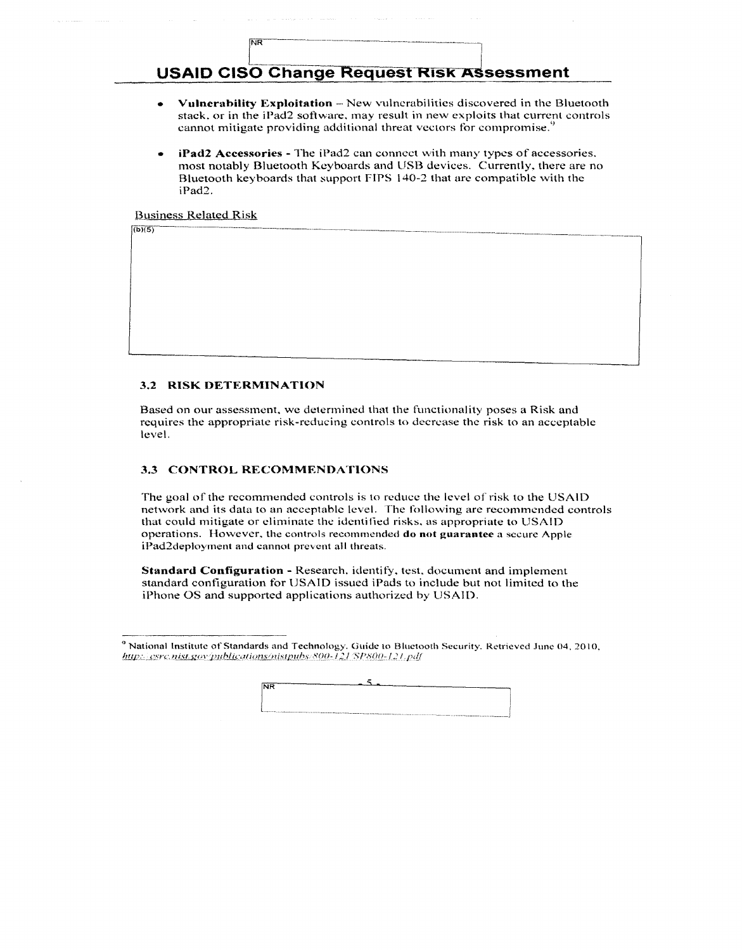### **USAID CISO Change Request RISK Assessment**

- Vulnerability Exploitation New vulnerabilities discovered in the Bluetooth stack, or in the iPad2 software, may result in new exploits that current controls cannot mitigate providing additional threat vectors for compromise.
- iPad2 Accessories The iPad2 can connect with many types of accessories. most notably Bluetooth Keyboards and USB devices. Currently, there are no Bluetooth keyboards that support FIPS 140-2 that are compatible with the iPad2.

**Business Related Risk** 

## $\sqrt{(b)(5)}$

#### 3.2 RISK DETERMINATION

**NR** 

Based on our assessment, we determined that the functionality poses a Risk and requires the appropriate risk-reducing controls to decrease the risk to an acceptable level.

#### 3.3 CONTROL RECOMMENDATIONS

The goal of the recommended controls is to reduce the level of risk to the USAID network and its data to an acceptable level. The following are recommended controls that could mitigate or eliminate the identified risks, as appropriate to USAID operations. However, the controls recommended do not guarantee a secure Apple iPad2deployment and cannot prevent all threats.

Standard Configuration - Research, identify, test, document and implement standard configuration for USAID issued iPads to include but not limited to the iPhone OS and supported applications authorized by USAID.

<sup>&</sup>lt;sup>9</sup> National Institute of Standards and Technology. Guide to Bluetooth Security. Retrieved June 04, 2010, http://csrc.nist.gov/publications/nistpubs/800-121/SP800-121.pdf

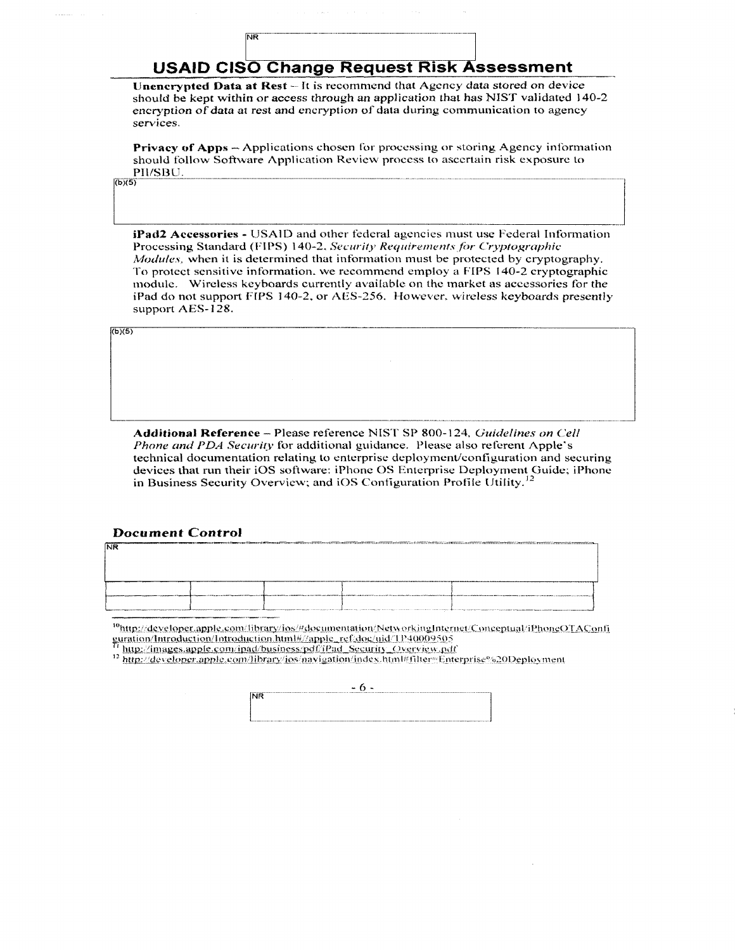## **USAID CISO Change Request Risk Assessment**

**NR** 

Unencrypted Data at Rest - It is recommend that Agency data stored on device should be kept within or access through an application that has NIST validated 140-2 encryption of data at rest and encryption of data during communication to agency services.

**Privacy of Apps** – Applications chosen for processing or storing Agency information should follow Software Application Review process to ascertain risk exposure to PII/SBU.

 $(b)(5)$ 

iPad2 Accessories - USAID and other federal agencies must use Federal Information Processing Standard (FIPS) 140-2, Security Requirements for Cryptographic *Modules*, when it is determined that information must be protected by cryptography. To protect sensitive information, we recommend employ a FIPS 140-2 cryptographic module. Wireless keyboards currently available on the market as accessories for the iPad do not support FIPS 140-2, or AES-256. However, wireless keyboards presently support AES-128.

 $(b)(5)$ 

Additional Reference - Please reference NIST SP 800-124, Guidelines on Cell Phone and PDA Security for additional guidance. Please also referent Apple's technical documentation relating to enterprise deployment/configuration and securing devices that run their iOS software: iPhone OS Enterprise Deployment Guide; iPhone in Business Security Overview; and iOS Configuration Profile Utility.<sup>1</sup>

#### **Document Control**

| אייו |  |                                           |  |
|------|--|-------------------------------------------|--|
|      |  |                                           |  |
|      |  |                                           |  |
|      |  |                                           |  |
|      |  | <b>Business committed different</b>       |  |
|      |  |                                           |  |
|      |  | process was distinguished and company and |  |

<sup>10</sup>http://developer.apple.com/library/ios/#documentation/NetworkingInternet/Conceptual/iPhoneOTAConfi guration/Introduction/Introduction.html#//apple\_ref/doc/uid/TP40009505 http://images.apple.com/ipad/business/pdf/iPad\_Security\_Overview.pdf

<sup>12</sup> http://developer.apple.com/library/ios/navigation/index.html#filter=Enterprise%20Deployment

| $\cdot$<br>о -                    |
|-----------------------------------|
| groups as a stronger<br><b>NR</b> |
|                                   |
|                                   |